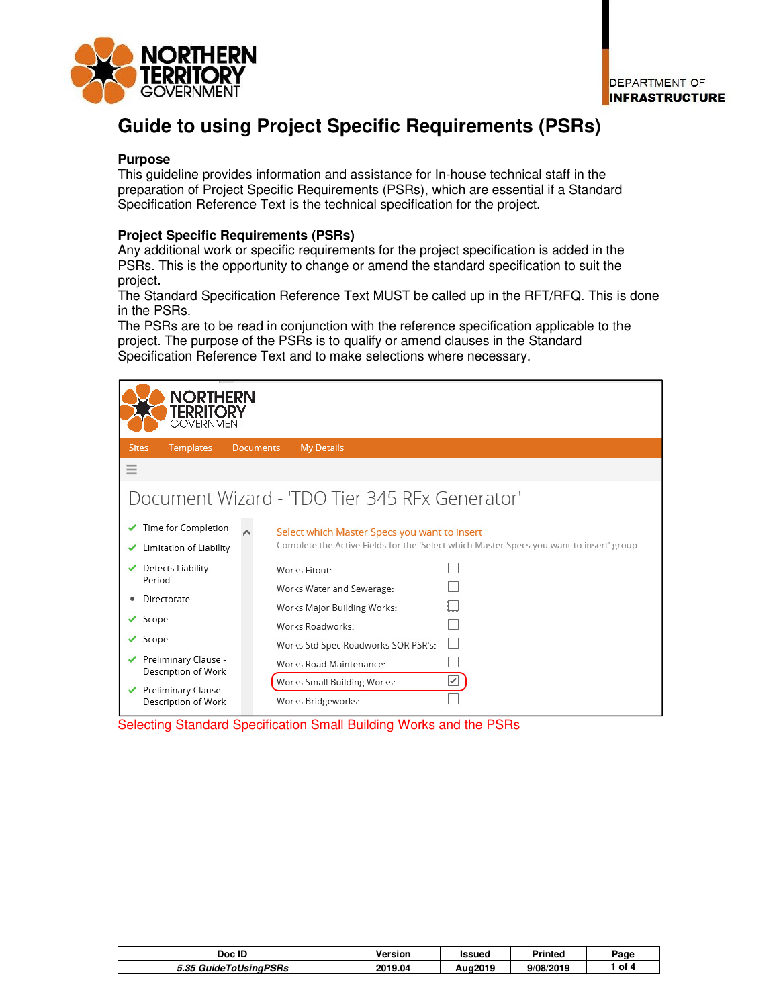

# **Guide to using Project Specific Requirements (PSRs)**

## **Purpose**

This guideline provides information and assistance for In-house technical staff in the preparation of Project Specific Requirements (PSRs), which are essential if a Standard Specification Reference Text is the technical specification for the project.

# **Project Specific Requirements (PSRs)**

Any additional work or specific requirements for the project specification is added in the PSRs. This is the opportunity to change or amend the standard specification to suit the project.

The Standard Specification Reference Text MUST be called up in the RFT/RFQ. This is done in the PSRs.

The PSRs are to be read in conjunction with the reference specification applicable to the project. The purpose of the PSRs is to qualify or amend clauses in the Standard Specification Reference Text and to make selections where necessary.

| <b>NORTHERN</b><br>Territory<br><b>GOVERNMENT</b>    |                                                                                                                                          |  |  |
|------------------------------------------------------|------------------------------------------------------------------------------------------------------------------------------------------|--|--|
| <b>Sites</b><br><b>Templates</b><br><b>Documents</b> | <b>My Details</b>                                                                                                                        |  |  |
| $\equiv$                                             |                                                                                                                                          |  |  |
| Document Wizard - 'TDO Tier 345 RFx Generator'       |                                                                                                                                          |  |  |
| Time for Completion<br>Limitation of Liability       | Select which Master Specs you want to insert<br>Complete the Active Fields for the 'Select which Master Specs you want to insert' group. |  |  |
| Defects Liability<br>Period                          | Works Fitout-<br>Works Water and Sewerage:                                                                                               |  |  |
| Directorate                                          | Works Major Building Works:                                                                                                              |  |  |
| Scope                                                | Works Roadworks:                                                                                                                         |  |  |
| Scope<br>✓                                           | Works Std Spec Roadworks SOR PSR's:                                                                                                      |  |  |
| Preliminary Clause -<br>Description of Work          | Works Road Maintenance:                                                                                                                  |  |  |
| <b>Preliminary Clause</b><br>Description of Work     | Works Small Building Works:<br>✔<br>Works Bridgeworks:                                                                                   |  |  |

Selecting Standard Specification Small Building Works and the PSRs

| Doc ID                           | Version | ssued   | <b>Printed</b> | oage |
|----------------------------------|---------|---------|----------------|------|
| <sup>-</sup> 35 GuideToUsingPSRs | 2019.04 | Aug2019 | 9/08/2019      | of 4 |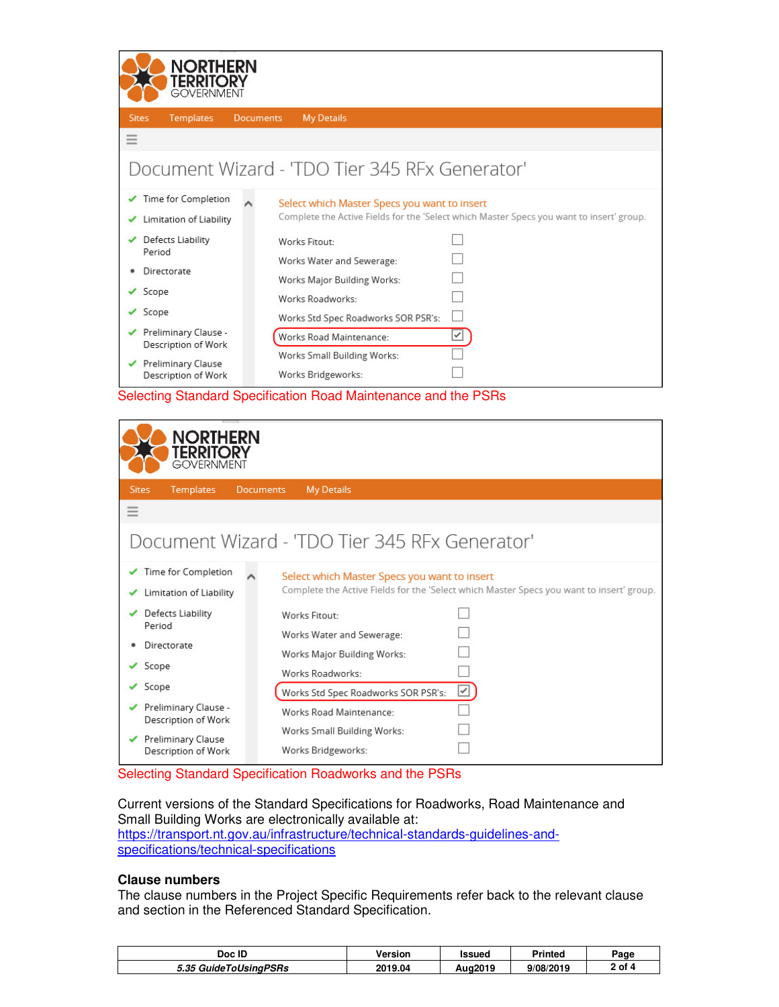| NORTHERN<br>Territory<br><b>GOVERNMENT</b>       |                                                                                                                                          |  |  |  |
|--------------------------------------------------|------------------------------------------------------------------------------------------------------------------------------------------|--|--|--|
| <b>Sites</b><br><b>Templates</b>                 | <b>My Details</b><br><b>Documents</b>                                                                                                    |  |  |  |
| $=$                                              |                                                                                                                                          |  |  |  |
| Document Wizard - 'TDO Tier 345 RFx Generator'   |                                                                                                                                          |  |  |  |
| Time for Completion<br>Limitation of Liability   | Select which Master Specs you want to insert<br>Complete the Active Fields for the 'Select which Master Specs you want to insert' group. |  |  |  |
| Defects Liability<br>Period                      | Works Fitout-<br>Works Water and Sewerage:                                                                                               |  |  |  |
| Directorate                                      | Works Major Building Works:                                                                                                              |  |  |  |
| Scope                                            | Works Roadworks:                                                                                                                         |  |  |  |
| Scope                                            | Works Std Spec Roadworks SOR PSR's:                                                                                                      |  |  |  |
| Preliminary Clause -<br>Description of Work      | $\overline{\underline{\check{\phantom{}}}}$<br>Works Road Maintenance:                                                                   |  |  |  |
| <b>Preliminary Clause</b><br>Description of Work | Works Small Building Works:<br>Works Bridgeworks:                                                                                        |  |  |  |

Selecting Standard Specification Road Maintenance and the PSRs

| NORTHERN<br>Territory<br><b>GOVERNMENT</b>     |                                                                                                                                          |
|------------------------------------------------|------------------------------------------------------------------------------------------------------------------------------------------|
| <b>Templates</b><br><b>Sites</b>               | <b>Documents</b><br><b>My Details</b>                                                                                                    |
| Ξ                                              |                                                                                                                                          |
|                                                | Document Wizard - 'TDO Tier 345 RFx Generator'                                                                                           |
| Time for Completion<br>Limitation of Liability | Select which Master Specs you want to insert<br>Complete the Active Fields for the 'Select which Master Specs you want to insert' group. |
| Defects Liability<br>Period                    | Works Fitout:<br>Works Water and Sewerage:                                                                                               |
| Directorate                                    | Works Major Building Works:                                                                                                              |
| Scope<br>✓                                     | Works Roadworks:                                                                                                                         |
| Scope<br>✓                                     | ⊻<br>Works Std Spec Roadworks SOR PSR's:                                                                                                 |
| Preliminary Clause -<br>Description of Work    | Works Road Maintenance:                                                                                                                  |
| Preliminary Clause<br>Description of Work      | Works Small Building Works:<br>Works Bridgeworks:                                                                                        |

Selecting Standard Specification Roadworks and the PSRs

Current versions of the Standard Specifications for Roadworks, Road Maintenance and Small Building Works are electronically available at: https://transport.nt.gov.au/infrastructure/technical-standards-guidelines-andspecifications/technical-specifications

#### **Clause numbers**

The clause numbers in the Project Specific Requirements refer back to the relevant clause and section in the Referenced Standard Specification.

| Doc ID                | Version | ssuec   | <b>Printed</b> | Page           |
|-----------------------|---------|---------|----------------|----------------|
| 5.35 GuideToUsinaPSRs | 2019.04 | Aua2019 | 9/08/2019      | . of $^\prime$ |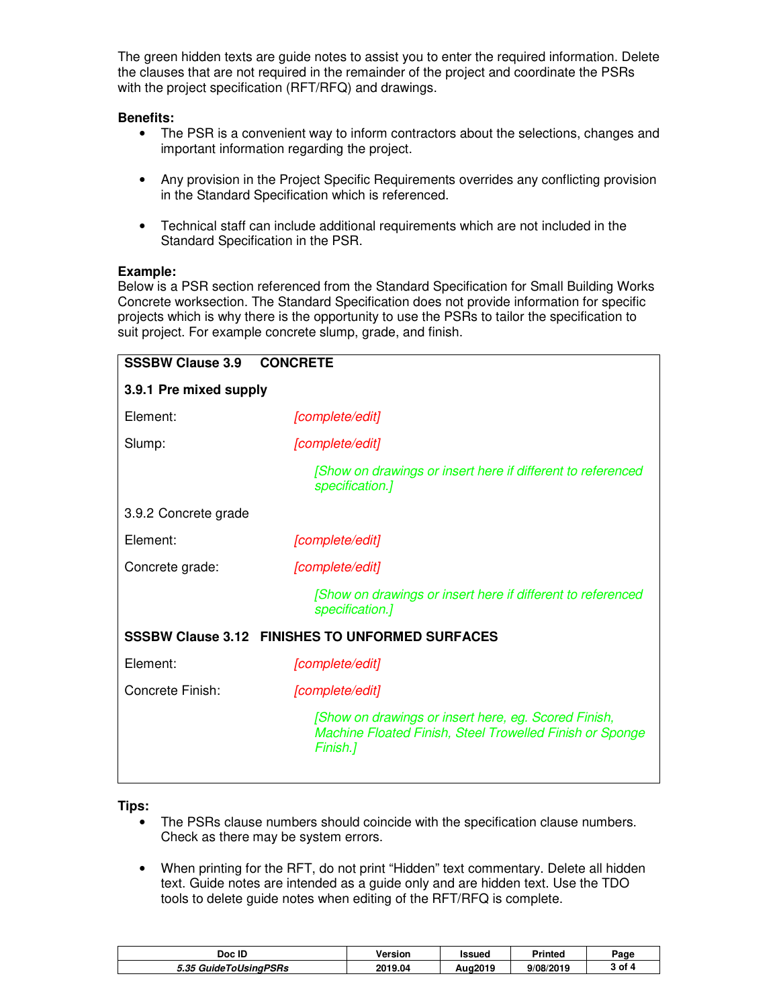The green hidden texts are guide notes to assist you to enter the required information. Delete the clauses that are not required in the remainder of the project and coordinate the PSRs with the project specification (RFT/RFQ) and drawings.

# **Benefits:**

- The PSR is a convenient way to inform contractors about the selections, changes and important information regarding the project.
- Any provision in the Project Specific Requirements overrides any conflicting provision in the Standard Specification which is referenced.
- Technical staff can include additional requirements which are not included in the Standard Specification in the PSR.

## **Example:**

Below is a PSR section referenced from the Standard Specification for Small Building Works Concrete worksection. The Standard Specification does not provide information for specific projects which is why there is the opportunity to use the PSRs to tailor the specification to suit project. For example concrete slump, grade, and finish.

| <b>SSSBW Clause 3.9</b> | <b>CONCRETE</b>                                                                                                              |
|-------------------------|------------------------------------------------------------------------------------------------------------------------------|
| 3.9.1 Pre mixed supply  |                                                                                                                              |
| Element:                | [complete/edit]                                                                                                              |
| Slump:                  | [complete/edit]                                                                                                              |
|                         | [Show on drawings or insert here if different to referenced<br>specification.]                                               |
| 3.9.2 Concrete grade    |                                                                                                                              |
| Element:                | [complete/edit]                                                                                                              |
| Concrete grade:         | [complete/edit]                                                                                                              |
|                         | [Show on drawings or insert here if different to referenced<br>specification.]                                               |
|                         | <b>SSSBW Clause 3.12 FINISHES TO UNFORMED SURFACES</b>                                                                       |
| Element:                | [complete/edit]                                                                                                              |
| Concrete Finish:        | [complete/edit]                                                                                                              |
|                         | [Show on drawings or insert here, eg. Scored Finish,<br>Machine Floated Finish, Steel Trowelled Finish or Sponge<br>Finish.] |
|                         |                                                                                                                              |

**Tips:** 

- The PSRs clause numbers should coincide with the specification clause numbers. Check as there may be system errors.
- When printing for the RFT, do not print "Hidden" text commentary. Delete all hidden text. Guide notes are intended as a guide only and are hidden text. Use the TDO tools to delete guide notes when editing of the RFT/RFQ is complete.

| Doc ID                | Version | Issued  | <b>Printed</b> | Page   |
|-----------------------|---------|---------|----------------|--------|
| 5.35 GuideToUsinaPSRs | 2019.04 | Aug2019 | 9/08/2019      | 3 of 4 |